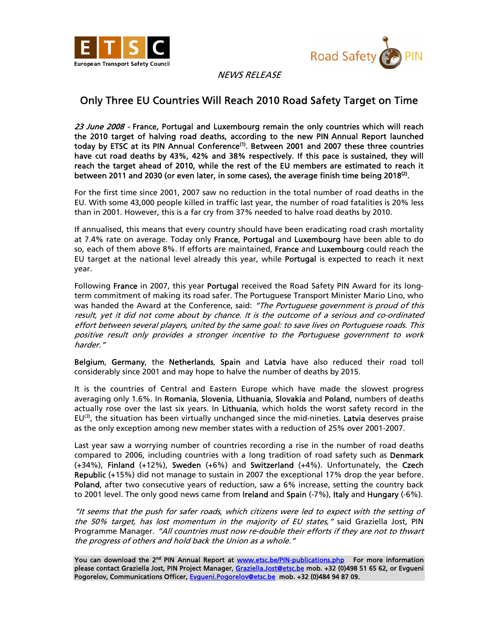



NEWS RELEASE

## Only Three EU Countries Will Reach 2010 Road Safety Target on Time

23 June 2008 - France, Portugal and Luxembourg remain the only countries which will reach the 2010 target of halving road deaths, according to the new PIN Annual Report launched today by ETSC at its PIN Annual Conference<sup>(1)</sup>. Between 2001 and 2007 these three countries have cut road deaths by 43%, 42% and 38% respectively. If this pace is sustained, they will reach the target ahead of 2010, while the rest of the EU members are estimated to reach it between 2011 and 2030 (or even later, in some cases), the average finish time being 2018 $^{(2)}$ .

For the first time since 2001, 2007 saw no reduction in the total number of road deaths in the EU. With some 43,000 people killed in traffic last year, the number of road fatalities is 20% less than in 2001. However, this is a far cry from 37% needed to halve road deaths by 2010.

If annualised, this means that every country should have been eradicating road crash mortality at 7.4% rate on average. Today only France, Portugal and Luxembourg have been able to do so, each of them above 8%. If efforts are maintained, France and Luxembourg could reach the EU target at the national level already this year, while **Portugal** is expected to reach it next year.

Following France in 2007, this year Portugal received the Road Safety PIN Award for its longterm commitment of making its road safer. The Portuguese Transport Minister Mario Lino, who was handed the Award at the Conference, said: "The Portuguese government is proud of this result, yet it did not come about by chance. It is the outcome of a serious and co-ordinated effort between several players, united by the same goal: to save lives on Portuguese roads. This positive result only provides a stronger incentive to the Portuguese government to work harder."

Belgium, Germany, the Netherlands, Spain and Latvia have also reduced their road toll considerably since 2001 and may hope to halve the number of deaths by 2015.

It is the countries of Central and Eastern Europe which have made the slowest progress averaging only 1.6%. In Romania, Slovenia, Lithuania, Slovakia and Poland, numbers of deaths actually rose over the last six years. In Lithuania, which holds the worst safety record in the  $EU<sup>(3)</sup>$ , the situation has been virtually unchanged since the mid-nineties. Latvia deserves praise as the only exception among new member states with a reduction of 25% over 2001-2007.

Last year saw a worrying number of countries recording a rise in the number of road deaths compared to 2006, including countries with a long tradition of road safety such as Denmark (+34%), Finland (+12%), Sweden (+6%) and Switzerland (+4%). Unfortunately, the Czech Republic (+15%) did not manage to sustain in 2007 the exceptional 17% drop the year before. Poland, after two consecutive years of reduction, saw a 6% increase, setting the country back to 2001 level. The only good news came from Ireland and Spain (-7%), Italy and Hungary (-6%).

"It seems that the push for safer roads, which citizens were led to expect with the setting of the 50% target, has lost momentum in the majority of EU states," said Graziella Jost, PIN Programme Manager. "All countries must now re-double their efforts if they are not to thwart the progress of others and hold back the Union as a whole."

You can download the 2<sup>nd</sup> PIN Annual Report at www.etsc.be/PIN-publications.php For more information please contact Graziella Jost, PIN Project Manager, Graziella.Jost@etsc.be mob. +32 (0)498 51 65 62, or Evgueni Pogorelov, Communications Officer, Evgueni.Pogorelov@etsc.be mob. +32 (0)484 94 87 09.